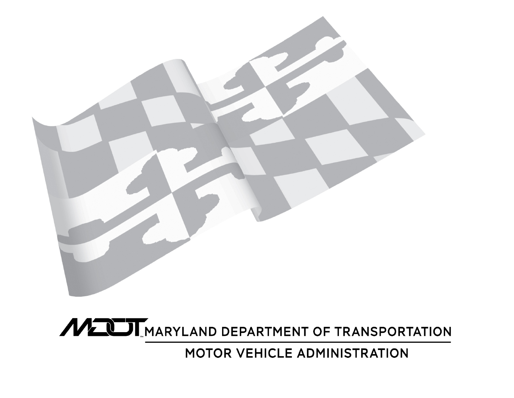

**MELLI MARYLAND DEPARTMENT OF TRANSPORTATION** 

MOTOR VEHICLE ADMINISTRATION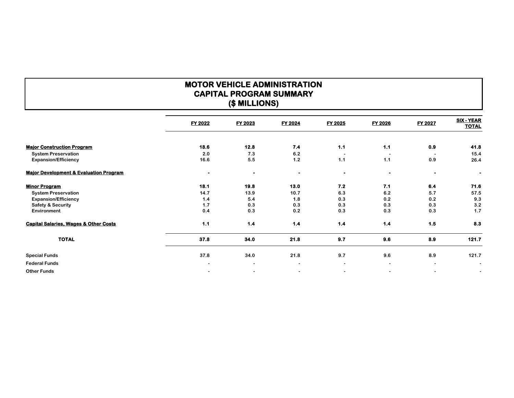# **MOTOR VEHICLE ADMINISTRATION CAPITAL PROGRAM SUMMARY (\$ MILLIONS)**

|                                                   | <b>FY 2022</b> | <b>FY 2023</b>           | FY 2024   | <b>FY 2025</b>           | <b>FY 2026</b>           | <b>FY 2027</b> | <b>SIX - YEAR</b><br><b>TOTAL</b> |
|---------------------------------------------------|----------------|--------------------------|-----------|--------------------------|--------------------------|----------------|-----------------------------------|
|                                                   |                |                          |           |                          |                          |                |                                   |
| <b>Major Construction Program</b>                 | 18.6           | 12.8                     | 7.4       | 1.1                      | 1.1                      | 0.9            | 41.8                              |
| <b>System Preservation</b>                        | 2.0            | 7.3                      | 6.2       | $\overline{\phantom{a}}$ | $\overline{\phantom{a}}$ |                | 15.4                              |
| <b>Expansion/Efficiency</b>                       | 16.6           | 5.5                      | 1.2       | 1.1                      | 1.1                      | 0.9            | 26.4                              |
| <b>Major Development &amp; Evaluation Program</b> | $\bullet$      | $\bullet$                | $\bullet$ | $\bullet$                | $\bullet$                | ۰              | $\bullet$                         |
| <b>Minor Program</b>                              | 18.1           | 19.8                     | 13.0      | 7.2                      | 7.1                      | 6.4            | 71.6                              |
| <b>System Preservation</b>                        | 14.7           | 13.9                     | 10.7      | 6.3                      | 6.2                      | 5.7            | 57.5                              |
| <b>Expansion/Efficiency</b>                       | 1.4            | 5.4                      | 1.8       | 0.3                      | 0.2                      | 0.2            | 9.3                               |
| <b>Safety &amp; Security</b>                      | 1.7            | 0.3                      | 0.3       | 0.3                      | 0.3                      | 0.3            | 3.2                               |
| Environment                                       | 0.4            | 0.3                      | 0.2       | 0.3                      | 0.3                      | 0.3            | 1.7                               |
| <b>Capital Salaries, Wages &amp; Other Costs</b>  | 1.1            | 1.4                      | 1.4       | 1.4                      | 1.4                      | 1.5            | 8.3                               |
| <b>TOTAL</b>                                      | 37.8           | 34.0                     | 21.8      | 9.7                      | 9.6                      | 8.9            | 121.7                             |
| <b>Special Funds</b>                              | 37.8           | 34.0                     | 21.8      | 9.7                      | 9.6                      | 8.9            | 121.7                             |
| <b>Federal Funds</b>                              | $\blacksquare$ | $\overline{\phantom{a}}$ | $\sim$    | $\overline{\phantom{a}}$ | $\blacksquare$           |                | $\blacksquare$                    |
| <b>Other Funds</b>                                |                |                          |           | $\overline{\phantom{a}}$ |                          |                | $\sim$                            |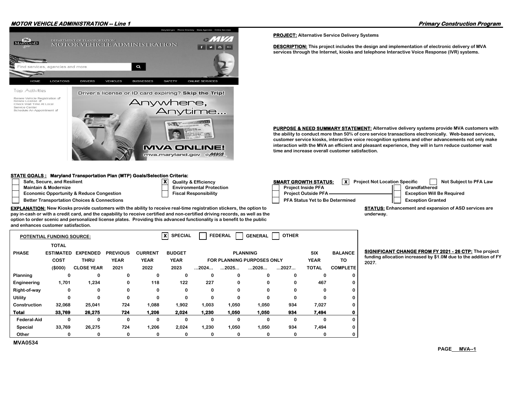## **MOTOR VEHICLE ADMINISTRATION -- Line 1 Primary Construction Program**



#### **STATE GOALS : Maryland Transportation Plan (MTP) Goals/Selection Criteria:**

- 
- 

**MVA0534**

- **Economic Opportunity & Reduce Congestion Fiscal Responsibility**
- 
- 
- 
- **Safe, Secure, and Resilient SMART GROWTH STATUS: X** Project Not Location Specific Not Subject to PFA Law **Maintain & Modernize Construction Constraints Construction** Environmental Protection Project Inside PFA Grandfathered **Better Transportation Choices & Connections Properties PFA Status Yet to Be Determined PFA Status Yet to Be Determined PEA Status Yet to Be Determined PEA Status Yet to Be Determined PEA Status Yet to Be Determined PEA S Project Outside PFA Exception Will Be Required**

**underway.**

**EXPLANATION: New Kiosks provide customers with the ability to receive real-time registration stickers, the option to pay in-cash or with a credit card, and the capability to receive certified and non-certified driving records, as well as the option to order scenic and personalized license plates. Providing this advanced functionality is a benefit to the public and enhances customer satisfaction.**

**X**

| $\boldsymbol{\mathsf{x}}$<br><b>SPECIAL</b><br><b>OTHER</b><br><b>FEDERAL</b><br><b>GENERAL</b><br><b>POTENTIAL FUNDING SOURCE:</b> |                  |                   |                 |                |                                                |       |                                   |          |      |              |                 |                |
|-------------------------------------------------------------------------------------------------------------------------------------|------------------|-------------------|-----------------|----------------|------------------------------------------------|-------|-----------------------------------|----------|------|--------------|-----------------|----------------|
|                                                                                                                                     | TOTAL            |                   |                 |                |                                                |       |                                   |          |      |              |                 |                |
| <b>PHASE</b>                                                                                                                        | <b>ESTIMATED</b> | <b>EXPENDED</b>   | <b>PREVIOUS</b> | <b>CURRENT</b> | <b>SIX</b><br><b>BUDGET</b><br><b>PLANNING</b> |       |                                   |          |      |              | <b>BALANCE</b>  | <b>SIGN</b>    |
|                                                                                                                                     | <b>COST</b>      | <b>THRU</b>       | <b>YEAR</b>     | <b>YEAR</b>    | <b>YEAR</b>                                    |       | <b>FOR PLANNING PURPOSES ONLY</b> |          |      |              | TO              | fundi<br>2027. |
|                                                                                                                                     | (\$000)          | <b>CLOSE YEAR</b> | 2021            | 2022           | 2023                                           | 2024  | 2025                              | 2026     | 2027 | <b>TOTAL</b> | <b>COMPLETE</b> |                |
| Planning                                                                                                                            | 0                | 0                 | O               | O              | 0                                              | 0     | 0                                 | $\bf{0}$ | 0    | 0            | 0               |                |
| Engineering                                                                                                                         | 1,701            | 1,234             | 0               | 118            | 122                                            | 227   | 0                                 | 0        | 0    | 467          | 0               |                |
| Right-of-way                                                                                                                        | 0                | 0                 | 0               | 0              | 0                                              | 0     | 0                                 | 0        | 0    | 0            | 0               |                |
| Utility                                                                                                                             | 0                | 0                 | 0               | 0              | 0                                              | 0     | 0                                 | 0        | 0    | $\Omega$     | 0               |                |
| Construction                                                                                                                        | 32,068           | 25,041            | 724             | 1,088          | 1,902                                          | 1,003 | 1,050                             | 1,050    | 934  | 7,027        | 0               |                |
| <b>Total</b>                                                                                                                        | 33,769           | 26,275            | 724             | 1,206          | 2,024                                          | 1,230 | 1,050                             | 1,050    | 934  | 7,494        | 0               |                |
| Federal-Aid                                                                                                                         | 0                | 0                 | 0               | 0              | 0                                              | 0     | 0                                 | 0        | 0    | 0            | 0               |                |
| <b>Special</b>                                                                                                                      | 33,769           | 26,275            | 724             | 1,206          | 2,024                                          | 1,230 | 1,050                             | 1,050    | 934  | 7,494        | 0               |                |
| Other                                                                                                                               | 0                | 0                 | 0               | 0              | 0                                              | 0     | 0                                 | 0        | 0    | 0            | 0               |                |

**BIGNIFICANT CHANGE FROM FY 2021 - 26 CTP: The project funding allocation increased by \$1.0M due to the addition of FY** 

**STATUS: Enhancement and expansion of ASD services are** 

**PROJECT: Alternative Service Delivery Systems**

**DESCRIPTION: This project includes the design and implementation of electronic delivery of MVA services through the Internet, kiosks and telephone Interactive Voice Response (IVR) systems.**

**PURPOSE & NEED SUMMARY STATEMENT: Alternative delivery systems provide MVA customers with the ability to conduct more than 50% of core service transactions electronically. Web-based services, customer service kiosks, interactive voice recognition systems and other advancements not only make interaction with the MVA an efficient and pleasant experience, they will in turn reduce customer wait time and increase overall customer satisfaction.**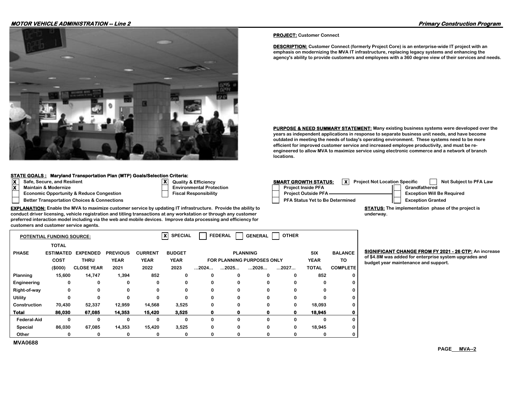### **MOTOR VEHICLE ADMINISTRATION -- Line 2 Primary Construction Program**



**EXPLANATION: Enable the MVA to maximize customer service by updating IT infrastructure. Provide the ability to conduct driver licensing, vehicle registration and titling transactions at any workstation or through any customer preferred interaction model including via the web and mobile devices. Improve data processing and efficiency for** 

#### **STATE GOALS : Maryland Transportation Plan (MTP) Goals/Selection Criteria:**

- 
- 
- **Economic Opportunity & Reduce Congestion Fiscal Responsibility**

**customers and customer service agents.**

- 
- **X**
	-
- **X Safe, Secure, and Resilient Quality & Efficiency SMART GROWTH STATUS: X Project Not Location Specific Not Subject to PFA Law Maintain & Modernize Consumer Environmental Protection Project Inside PFA** Project Inside PFA **Grandfathered Better Transportation Choices & Connections Properties PFA Status Yet to Be Determined PFA Status Yet to Be Determined PEA Status Yet to Be Determined PEA Status Yet to Be Determined PEA Status Yet to Be Determined PEA S Project Outside PFA Exception Will Be Required**

**STATUS: The implementation phase of the project is underway.**

|                    | <b>POTENTIAL FUNDING SOURCE:</b> |                   |                 |                | xl<br><b>SPECIAL</b> |                      | <b>FEDERAL</b>                    | <b>GENERAL</b>  | <b>OTHER</b> |            |                 |
|--------------------|----------------------------------|-------------------|-----------------|----------------|----------------------|----------------------|-----------------------------------|-----------------|--------------|------------|-----------------|
|                    | <b>TOTAL</b>                     |                   |                 |                |                      |                      |                                   |                 |              |            |                 |
| <b>PHASE</b>       | <b>ESTIMATED</b>                 | <b>EXPENDED</b>   | <b>PREVIOUS</b> | <b>CURRENT</b> | <b>BUDGET</b>        |                      |                                   | <b>PLANNING</b> |              | <b>SIX</b> | <b>BALANCE</b>  |
|                    | COST                             | <b>THRU</b>       | <b>YEAR</b>     | <b>YEAR</b>    | <b>YEAR</b>          |                      | <b>FOR PLANNING PURPOSES ONLY</b> |                 | <b>YEAR</b>  | TO         |                 |
|                    | (\$000)                          | <b>CLOSE YEAR</b> | 2021            | 2022           | 2023                 | $\dots$ 2024 $\dots$ | $\dots$ 2025 $\dots$              | 2026            | 2027         | TOTAL      | <b>COMPLETE</b> |
| Planning           | 15,600                           | 14,747            | 1,394           | 852            | 0                    | 0                    |                                   | 0               | 0            | 852        | 0               |
| Engineering        | 0                                | 0                 |                 | 0              | 0                    | 0                    |                                   | 0               | 0            | 0          | 0               |
| Right-of-way       | 0                                | 0                 |                 | 0              | 0                    | 0                    |                                   | 0               | 0            | o          | 0               |
| Utility            | 0                                | 0                 | n               | $\Omega$       | $\Omega$             | 0                    | <sup>0</sup>                      | $\Omega$        | 0            | o          | 0               |
| Construction       | 70,430                           | 52,337            | 12,959          | 14,568         | 3,525                | 0                    |                                   | 0               | 0            | 18,093     | 0               |
| Total              | 86,030                           | 67,085            | 14,353          | 15,420         | 3,525                |                      |                                   | 0               | o            | 18,945     | 0               |
| <b>Federal-Aid</b> | 0                                | 0                 | 0               | 0              | 0                    | 0                    |                                   | 0               | 0            | 0          | 0               |
| Special            | 86,030                           | 67,085            | 14,353          | 15,420         | 3,525                | 0                    | 0                                 | 0               | 0            | 18,945     | 0               |
| Other              | 0                                | 0                 |                 | 0              | 0                    | 0                    |                                   | 0               | 0            | 0          | 0               |

**MVA0688**

**BIGNIFICANT CHANGE FROM FY 2021 - 26 CTP: An increase** 

**of \$4.8M was added for enterprise system upgrades and budget year maintenance and support.** 

**PROJECT: Customer Connect**

**DESCRIPTION: Customer Connect (formerly Project Core) is an enterprise-wide IT project with an emphasis on modernizing the MVA IT infrastructure, replacing legacy systems and enhancing the agency's ability to provide customers and employees with a 360 degree view of their services and needs.**

**PURPOSE & NEED SUMMARY STATEMENT: Many existing business systems were developed over the years as independent applications in response to separate business unit needs, and have become outdated in meeting the needs of today's operating environment. These systems need to be more efficient for improved customer service and increased employee productivity, and must be reengineered to allow MVA to maximize service using electronic commerce and a network of branch locations.**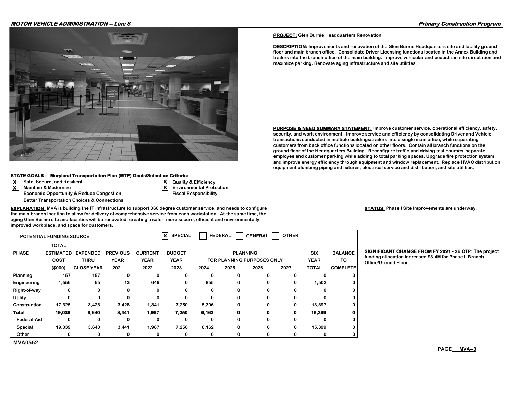### **MOTOR VEHICLE ADMINISTRATION -- Line 3 Primary Construction Program**



#### **STATE GOALS : Maryland Transportation Plan (MTP) Goals/Selection Criteria:**

- 
- 
- **Economic Opportunity & Reduce Congestion Fiscal Responsibility**
- **Better Transportation Choices & Connections**

**X Safe, Secure, and Resilient Quality & Efficiency Maintain & Modernize Community Community Community Community Community Community Community Community Community Community Community Community Community Community Community Community Community Community Community Community** 

**X**

**X**

**EXPLANATION: MVA is building the IT infrastructure to support 360 degree customer service, and needs to configure the main branch location to allow for delivery of comprehensive service from each workstation. At the same time, the aging Glen Burnie site and facilities will be renovated, creating a safer, more secure, efficient and environmentally improved workplace, and space for customers.**

|                    | <b>POTENTIAL FUNDING SOURCE:</b> |                   |                 |                | x<br><b>SPECIAL</b> |                                   | <b>FEDERAL</b> | <b>GENERAL</b>  | <b>OTHER</b> |              |                 |
|--------------------|----------------------------------|-------------------|-----------------|----------------|---------------------|-----------------------------------|----------------|-----------------|--------------|--------------|-----------------|
|                    | <b>TOTAL</b>                     |                   |                 |                |                     |                                   |                |                 |              |              |                 |
| <b>PHASE</b>       | <b>ESTIMATED</b>                 | <b>EXPENDED</b>   | <b>PREVIOUS</b> | <b>CURRENT</b> | <b>BUDGET</b>       |                                   |                | <b>PLANNING</b> |              | <b>SIX</b>   | <b>BALANCE</b>  |
|                    | <b>COST</b>                      | <b>THRU</b>       | <b>YEAR</b>     | <b>YEAR</b>    | <b>YEAR</b>         | <b>FOR PLANNING PURPOSES ONLY</b> |                |                 |              | <b>YEAR</b>  | TO              |
|                    | (\$000)                          | <b>CLOSE YEAR</b> | 2021            | 2022           | 2023                | 2024                              | 2025           | 2026            | 2027         | <b>TOTAL</b> | <b>COMPLETE</b> |
| Planning           | 157                              | 157               | 0               | 0              | 0                   | 0                                 | 0              |                 | 0            | 0            | 0               |
| Engineering        | 1,556                            | 55                | 13              | 646            | 0                   | 855                               | 0              |                 | 0            | 1,502        | 0               |
| Right-of-way       | 0                                | 0                 | 0               | 0              | 0                   | 0                                 | 0              |                 | 0            | 0            | 0               |
| Utility            | 0                                | 0                 | 0               | 0              | 0                   | 0                                 | 0              |                 | 0            | 0            | 0               |
| Construction       | 17,325                           | 3,428             | 3,428           | 1,341          | 7,250               | 5,306                             | 0              | 0               | 0            | 13,897       | 0               |
| <b>Total</b>       | 19,039                           | 3,640             | 3,441           | 1,987          | 7,250               | 6,162                             | 0              | 0               | 0            | 15,399       | 0               |
| <b>Federal-Aid</b> | 0                                | 0                 | 0               | 0              | 0                   | 0                                 | 0              | $\Omega$        | 0            | 0            | 0               |
| Special            | 19,039                           | 3,640             | 3,441           | 1,987          | 7,250               | 6,162                             | 0              | 0               | 0            | 15,399       | 0               |
| Other              | 0                                | 0                 | 0               | 0              | 0                   | 0                                 | 0              |                 | 0            | 0            | 0               |
| <b>MVA0552</b>     |                                  |                   |                 |                |                     |                                   |                |                 |              |              |                 |

**STATUS: Phase I Site Improvements are underway.**

**BIGNIFICANT CHANGE FROM FY 2021 - 26 CTP: The project funding allocation increased \$3.4M for Phase II Branch** 

**PROJECT: Glen Burnie Headquarters Renovation**

**DESCRIPTION: Improvements and renovation of the Glen Burnie Headquarters site and facility ground floor and main branch office. Consolidate Driver Licensing functions located in the Annex Building and trailers into the branch office of the main building. Improve vehicular and pedestrian site circulation and maximize parking. Renovate aging infrastructure and site utilities.**

**PURPOSE & NEED SUMMARY STATEMENT: Improve customer service, operational efficiency, safety, security, and work environment. Improve service and efficiency by consolidating Driver and Vehicle transactions conducted in multiple buildings/trailers into a single main office, while separating customers from back office functions located on other floors. Contain all branch functions on the ground floor of the Headquarters Building. Reconfigure traffic and driving test courses, separate employee and customer parking while adding to total parking spaces. Upgrade fire protection system and improve energy efficiency through equipment and window replacement. Replace HVAC distribution equipment plumbing piping and fixtures, electrical service and distribution, and site utilities.**

 $Office/Ground Floor.$